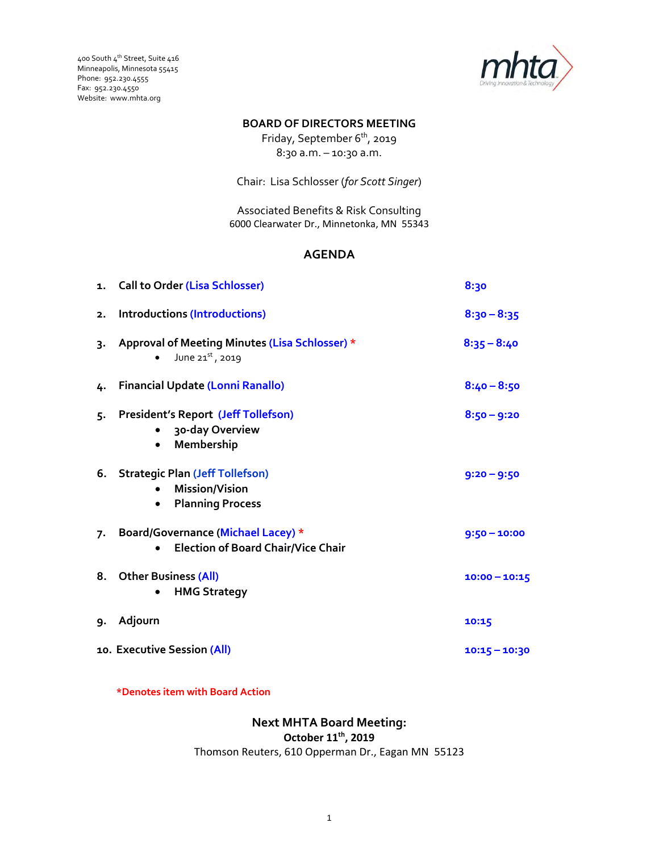400 South 4th Street, Suite 416 Minneapolis, Minnesota 55415 Phone: 952.230.4555 Fax: 952.230.4550 Website: www.mhta.org



#### **BOARD OF DIRECTORS MEETING**

Friday, September 6<sup>th</sup>, 2019 8:30 a.m. – 10:30 a.m.

Chair: Lisa Schlosser (*for Scott Singer*)

Associated Benefits & Risk Consulting 6000 Clearwater Dr., Minnetonka, MN 55343

## **AGENDA**

|    | 1. Call to Order (Lisa Schlosser)                                                                       | 8:30            |
|----|---------------------------------------------------------------------------------------------------------|-----------------|
| 2. | <b>Introductions (Introductions)</b>                                                                    | $8:30 - 8:35$   |
| 3. | Approval of Meeting Minutes (Lisa Schlosser) *<br>June $21^{st}$ , 2019                                 | $8:35 - 8:40$   |
| 4. | <b>Financial Update (Lonni Ranallo)</b>                                                                 | $8:40 - 8:50$   |
| 5. | <b>President's Report (Jeff Tollefson)</b><br>30-day Overview<br>Membership<br>$\bullet$                | $8:50 - 9:20$   |
| 6. | <b>Strategic Plan (Jeff Tollefson)</b><br><b>Mission/Vision</b><br><b>Planning Process</b><br>$\bullet$ | $9:20 - 9:50$   |
| 7. | Board/Governance (Michael Lacey) *<br><b>Election of Board Chair/Vice Chair</b>                         | $9:50 - 10:00$  |
| 8. | <b>Other Business (All)</b><br><b>HMG Strategy</b>                                                      | $10:00 - 10:15$ |
| 9. | Adjourn                                                                                                 | 10:15           |
|    | 10. Executive Session (All)                                                                             | $10:15 - 10:30$ |

**\*Denotes item with Board Action**

**Next MHTA Board Meeting: October 11th, 2019** Thomson Reuters, 610 Opperman Dr., Eagan MN 55123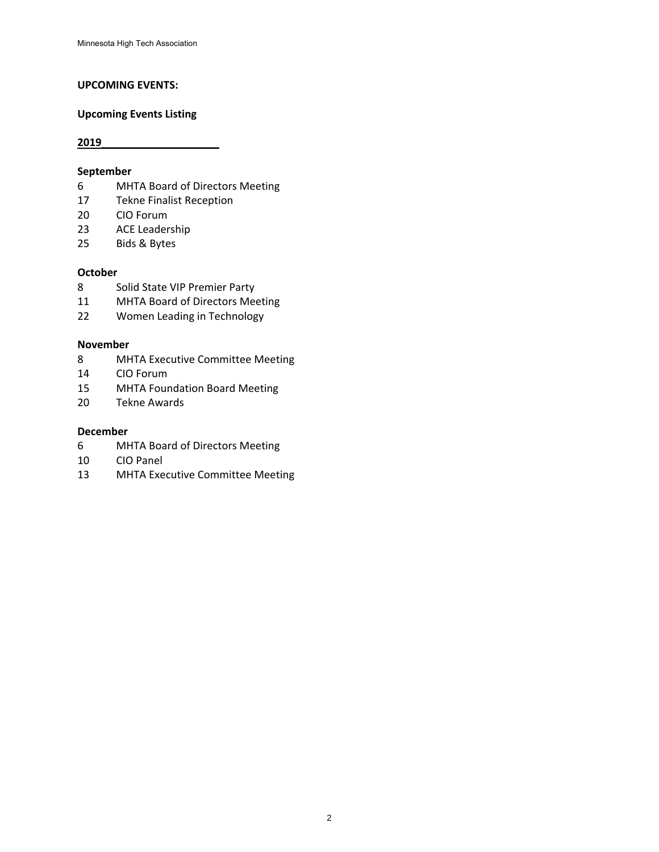#### **UPCOMING EVENTS:**

#### **Upcoming Events Listing**

## **September**

- MHTA Board of Directors Meeting
- Tekne Finalist Reception
- CIO Forum
- ACE Leadership
- Bids & Bytes

#### **October**

- Solid State VIP Premier Party
- MHTA Board of Directors Meeting
- Women Leading in Technology

#### **November**

- MHTA Executive Committee Meeting
- CIO Forum
- MHTA Foundation Board Meeting
- Tekne Awards

#### **December**

- MHTA Board of Directors Meeting
- CIO Panel
- MHTA Executive Committee Meeting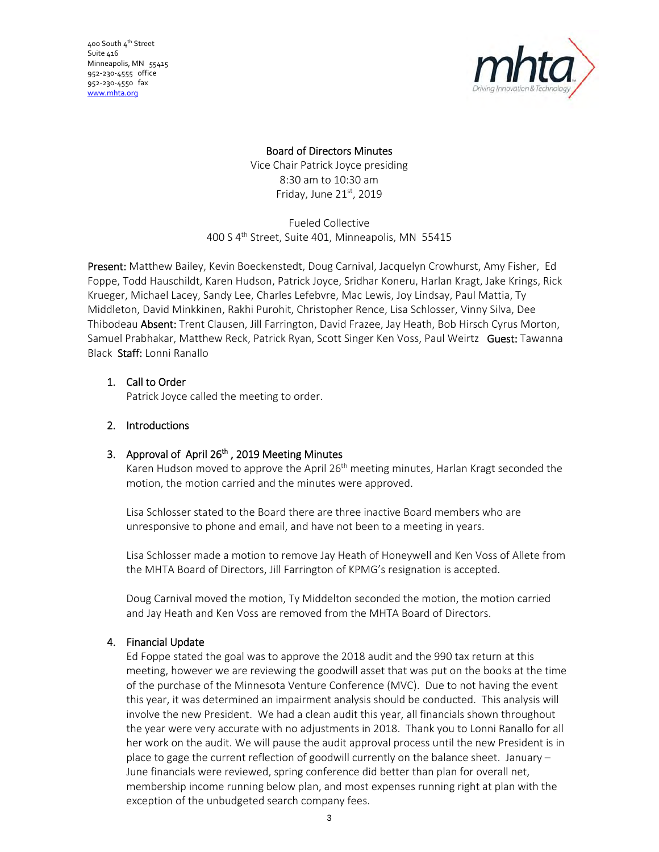400 South 4<sup>th</sup> Street Suite 416 Minneapolis, MN 55415 952‐230‐4555 office 952‐230‐4550 fax www.mhta.org



# Board of Directors Minutes

Vice Chair Patrick Joyce presiding 8:30 am to 10:30 am Friday, June  $21<sup>st</sup>$ , 2019

Fueled Collective 400 S 4th Street, Suite 401, Minneapolis, MN 55415

Present: Matthew Bailey, Kevin Boeckenstedt, Doug Carnival, Jacquelyn Crowhurst, Amy Fisher, Ed Foppe, Todd Hauschildt, Karen Hudson, Patrick Joyce, Sridhar Koneru, Harlan Kragt, Jake Krings, Rick Krueger, Michael Lacey, Sandy Lee, Charles Lefebvre, Mac Lewis, Joy Lindsay, Paul Mattia, Ty Middleton, David Minkkinen, Rakhi Purohit, Christopher Rence, Lisa Schlosser, Vinny Silva, Dee Thibodeau Absent: Trent Clausen, Jill Farrington, David Frazee, Jay Heath, Bob Hirsch Cyrus Morton, Samuel Prabhakar, Matthew Reck, Patrick Ryan, Scott Singer Ken Voss, Paul Weirtz Guest: Tawanna Black Staff: Lonni Ranallo

# 1. Call to Order

Patrick Joyce called the meeting to order.

# 2. Introductions

# 3. Approval of April 26<sup>th</sup>, 2019 Meeting Minutes

Karen Hudson moved to approve the April 26<sup>th</sup> meeting minutes, Harlan Kragt seconded the motion, the motion carried and the minutes were approved.

Lisa Schlosser stated to the Board there are three inactive Board members who are unresponsive to phone and email, and have not been to a meeting in years.

Lisa Schlosser made a motion to remove Jay Heath of Honeywell and Ken Voss of Allete from the MHTA Board of Directors, Jill Farrington of KPMG's resignation is accepted.

Doug Carnival moved the motion, Ty Middelton seconded the motion, the motion carried and Jay Heath and Ken Voss are removed from the MHTA Board of Directors.

# 4. Financial Update

Ed Foppe stated the goal was to approve the 2018 audit and the 990 tax return at this meeting, however we are reviewing the goodwill asset that was put on the books at the time of the purchase of the Minnesota Venture Conference (MVC). Due to not having the event this year, it was determined an impairment analysis should be conducted. This analysis will involve the new President. We had a clean audit this year, all financials shown throughout the year were very accurate with no adjustments in 2018. Thank you to Lonni Ranallo for all her work on the audit. We will pause the audit approval process until the new President is in place to gage the current reflection of goodwill currently on the balance sheet. January – June financials were reviewed, spring conference did better than plan for overall net, membership income running below plan, and most expenses running right at plan with the exception of the unbudgeted search company fees.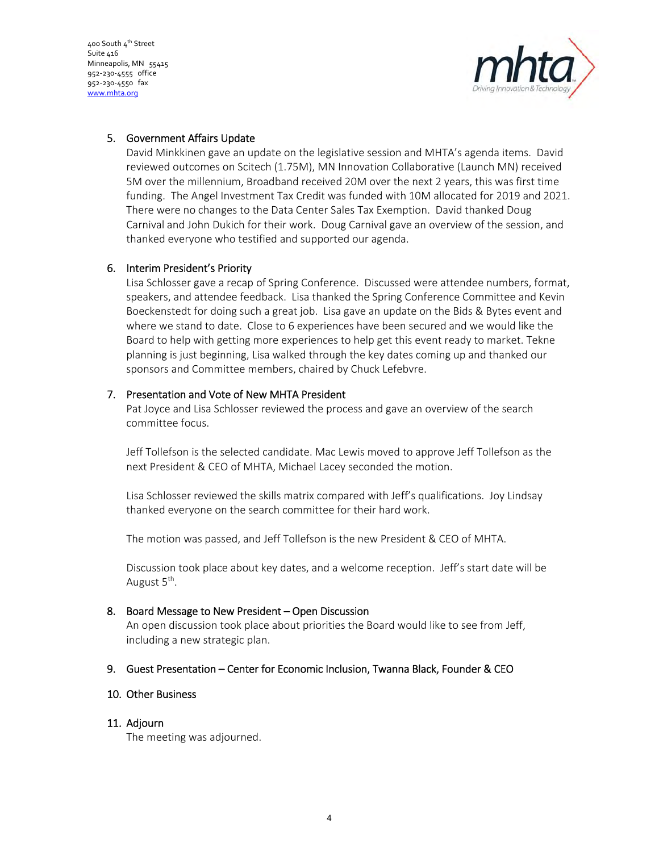400 South 4<sup>th</sup> Street Suite 416 Minneapolis, MN 55415 952‐230‐4555 office 952‐230‐4550 fax www.mhta.org



## 5. Government Affairs Update

David Minkkinen gave an update on the legislative session and MHTA's agenda items. David reviewed outcomes on Scitech (1.75M), MN Innovation Collaborative (Launch MN) received 5M over the millennium, Broadband received 20M over the next 2 years, this was first time funding. The Angel Investment Tax Credit was funded with 10M allocated for 2019 and 2021. There were no changes to the Data Center Sales Tax Exemption. David thanked Doug Carnival and John Dukich for their work. Doug Carnival gave an overview of the session, and thanked everyone who testified and supported our agenda.

## 6. Interim President's Priority

Lisa Schlosser gave a recap of Spring Conference. Discussed were attendee numbers, format, speakers, and attendee feedback. Lisa thanked the Spring Conference Committee and Kevin Boeckenstedt for doing such a great job. Lisa gave an update on the Bids & Bytes event and where we stand to date. Close to 6 experiences have been secured and we would like the Board to help with getting more experiences to help get this event ready to market. Tekne planning is just beginning, Lisa walked through the key dates coming up and thanked our sponsors and Committee members, chaired by Chuck Lefebvre.

## 7. Presentation and Vote of New MHTA President

Pat Joyce and Lisa Schlosser reviewed the process and gave an overview of the search committee focus.

Jeff Tollefson is the selected candidate. Mac Lewis moved to approve Jeff Tollefson as the next President & CEO of MHTA, Michael Lacey seconded the motion.

Lisa Schlosser reviewed the skills matrix compared with Jeff's qualifications. Joy Lindsay thanked everyone on the search committee for their hard work.

The motion was passed, and Jeff Tollefson is the new President & CEO of MHTA.

Discussion took place about key dates, and a welcome reception. Jeff's start date will be August 5<sup>th</sup>.

## 8. Board Message to New President – Open Discussion

An open discussion took place about priorities the Board would like to see from Jeff, including a new strategic plan.

## 9. Guest Presentation – Center for Economic Inclusion, Twanna Black, Founder & CEO

## 10. Other Business

## 11. Adjourn

The meeting was adjourned.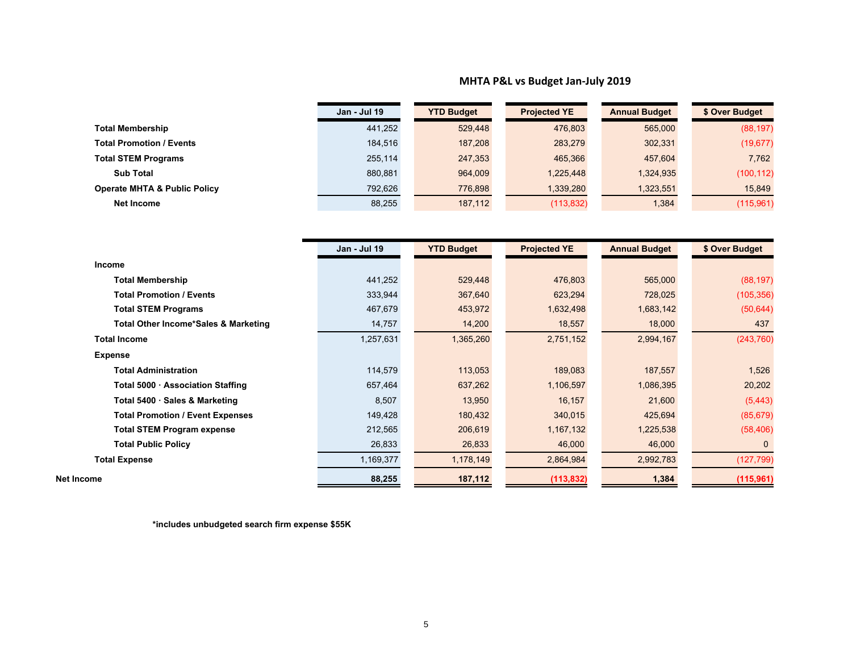#### **MHTA P&L vs Budget Jan‐July 2019**

|                                         | <b>Jan - Jul 19</b> | <b>YTD Budget</b> | <b>Projected YE</b> | <b>Annual Budget</b> | \$ Over Budget |
|-----------------------------------------|---------------------|-------------------|---------------------|----------------------|----------------|
| <b>Total Membership</b>                 | 441,252             | 529,448           | 476,803             | 565,000              | (88, 197)      |
| <b>Total Promotion / Events</b>         | 184,516             | 187,208           | 283,279             | 302,331              | (19, 677)      |
| <b>Total STEM Programs</b>              | 255,114             | 247,353           | 465,366             | 457,604              | 7,762          |
| <b>Sub Total</b>                        | 880,881             | 964,009           | 1,225,448           | 1,324,935            | (100, 112)     |
| <b>Operate MHTA &amp; Public Policy</b> | 792,626             | 776,898           | 1,339,280           | 1,323,551            | 15,849         |
| Net Income                              | 88,255              | 187,112           | (113, 832)          | 1,384                | (115,961)      |

|                                                 | Jan - Jul 19 | <b>YTD Budget</b> | <b>Projected YE</b> | <b>Annual Budget</b> | \$ Over Budget |
|-------------------------------------------------|--------------|-------------------|---------------------|----------------------|----------------|
| <b>Income</b>                                   |              |                   |                     |                      |                |
| <b>Total Membership</b>                         | 441,252      | 529,448           | 476,803             | 565,000              | (88, 197)      |
| <b>Total Promotion / Events</b>                 | 333,944      | 367,640           | 623,294             | 728,025              | (105, 356)     |
| <b>Total STEM Programs</b>                      | 467,679      | 453,972           | 1,632,498           | 1,683,142            | (50, 644)      |
| <b>Total Other Income*Sales &amp; Marketing</b> | 14,757       | 14,200            | 18,557              | 18,000               | 437            |
| <b>Total Income</b>                             | 1,257,631    | 1,365,260         | 2,751,152           | 2,994,167            | (243, 760)     |
| <b>Expense</b>                                  |              |                   |                     |                      |                |
| <b>Total Administration</b>                     | 114,579      | 113,053           | 189,083             | 187,557              | 1,526          |
| Total 5000 · Association Staffing               | 657,464      | 637,262           | 1,106,597           | 1,086,395            | 20,202         |
| Total 5400 · Sales & Marketing                  | 8,507        | 13,950            | 16,157              | 21,600               | (5, 443)       |
| <b>Total Promotion / Event Expenses</b>         | 149,428      | 180,432           | 340,015             | 425,694              | (85, 679)      |
| <b>Total STEM Program expense</b>               | 212,565      | 206,619           | 1, 167, 132         | 1,225,538            | (58, 406)      |
| <b>Total Public Policy</b>                      | 26,833       | 26,833            | 46,000              | 46,000               | $\mathbf{0}$   |
| Total Expense                                   | 1,169,377    | 1,178,149         | 2,864,984           | 2,992,783            | (127, 799)     |
| <b>Net Income</b>                               | 88,255       | 187,112           | (113, 832)          | 1,384                | (115, 961)     |

**\*includes unbudgeted search firm expense \$55K**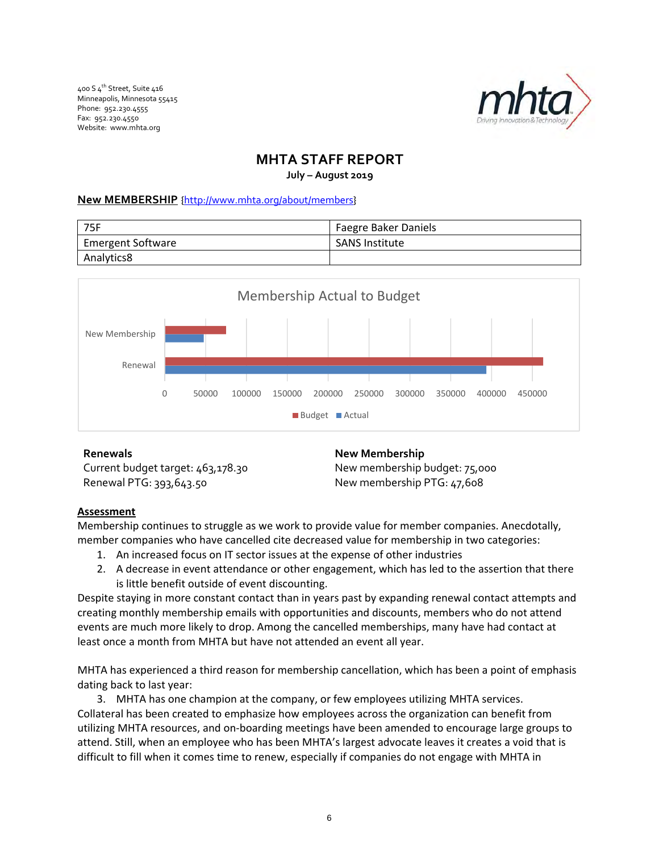400 S 4<sup>th</sup> Street, Suite 416 Minneapolis, Minnesota 55415 Phone: 952.230.4555 Fax: 952.230.4550 Website: www.mhta.org



# **MHTA STAFF REPORT**

**July – August 2019**

## **New MEMBERSHIP** {http://www.mhta.org/about/members}

| - 75F                    | Faegre Baker Daniels  |  |  |
|--------------------------|-----------------------|--|--|
| <b>Emergent Software</b> | <b>SANS Institute</b> |  |  |
| Analytics8               |                       |  |  |



Current budget target: 463,178.30 Renewal PTG: 393,643.50

**Renewals New Membership** New membership budget: 75,000 New membership PTG: 47,608

## **Assessment**

Membership continues to struggle as we work to provide value for member companies. Anecdotally, member companies who have cancelled cite decreased value for membership in two categories:

- 1. An increased focus on IT sector issues at the expense of other industries
- 2. A decrease in event attendance or other engagement, which has led to the assertion that there is little benefit outside of event discounting.

Despite staying in more constant contact than in years past by expanding renewal contact attempts and creating monthly membership emails with opportunities and discounts, members who do not attend events are much more likely to drop. Among the cancelled memberships, many have had contact at least once a month from MHTA but have not attended an event all year.

MHTA has experienced a third reason for membership cancellation, which has been a point of emphasis dating back to last year:

3. MHTA has one champion at the company, or few employees utilizing MHTA services. Collateral has been created to emphasize how employees across the organization can benefit from utilizing MHTA resources, and on‐boarding meetings have been amended to encourage large groups to attend. Still, when an employee who has been MHTA's largest advocate leaves it creates a void that is difficult to fill when it comes time to renew, especially if companies do not engage with MHTA in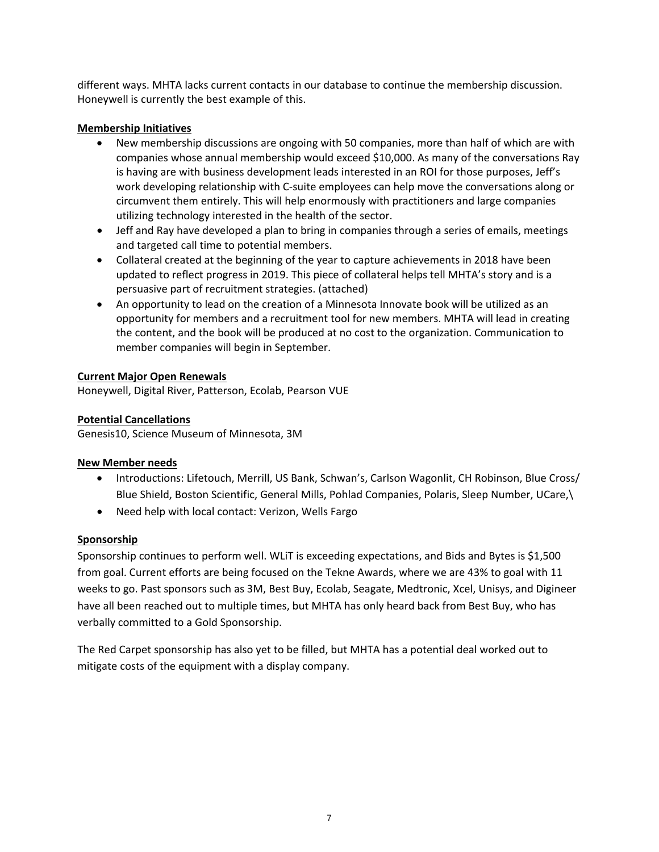different ways. MHTA lacks current contacts in our database to continue the membership discussion. Honeywell is currently the best example of this.

## **Membership Initiatives**

- New membership discussions are ongoing with 50 companies, more than half of which are with companies whose annual membership would exceed \$10,000. As many of the conversations Ray is having are with business development leads interested in an ROI for those purposes, Jeff's work developing relationship with C‐suite employees can help move the conversations along or circumvent them entirely. This will help enormously with practitioners and large companies utilizing technology interested in the health of the sector.
- Jeff and Ray have developed a plan to bring in companies through a series of emails, meetings and targeted call time to potential members.
- Collateral created at the beginning of the year to capture achievements in 2018 have been updated to reflect progress in 2019. This piece of collateral helps tell MHTA's story and is a persuasive part of recruitment strategies. (attached)
- An opportunity to lead on the creation of a Minnesota Innovate book will be utilized as an opportunity for members and a recruitment tool for new members. MHTA will lead in creating the content, and the book will be produced at no cost to the organization. Communication to member companies will begin in September.

## **Current Major Open Renewals**

Honeywell, Digital River, Patterson, Ecolab, Pearson VUE

## **Potential Cancellations**

Genesis10, Science Museum of Minnesota, 3M

## **New Member needs**

- Introductions: Lifetouch, Merrill, US Bank, Schwan's, Carlson Wagonlit, CH Robinson, Blue Cross/ Blue Shield, Boston Scientific, General Mills, Pohlad Companies, Polaris, Sleep Number, UCare,\
- Need help with local contact: Verizon, Wells Fargo

# **Sponsorship**

Sponsorship continues to perform well. WLiT is exceeding expectations, and Bids and Bytes is \$1,500 from goal. Current efforts are being focused on the Tekne Awards, where we are 43% to goal with 11 weeks to go. Past sponsors such as 3M, Best Buy, Ecolab, Seagate, Medtronic, Xcel, Unisys, and Digineer have all been reached out to multiple times, but MHTA has only heard back from Best Buy, who has verbally committed to a Gold Sponsorship.

The Red Carpet sponsorship has also yet to be filled, but MHTA has a potential deal worked out to mitigate costs of the equipment with a display company.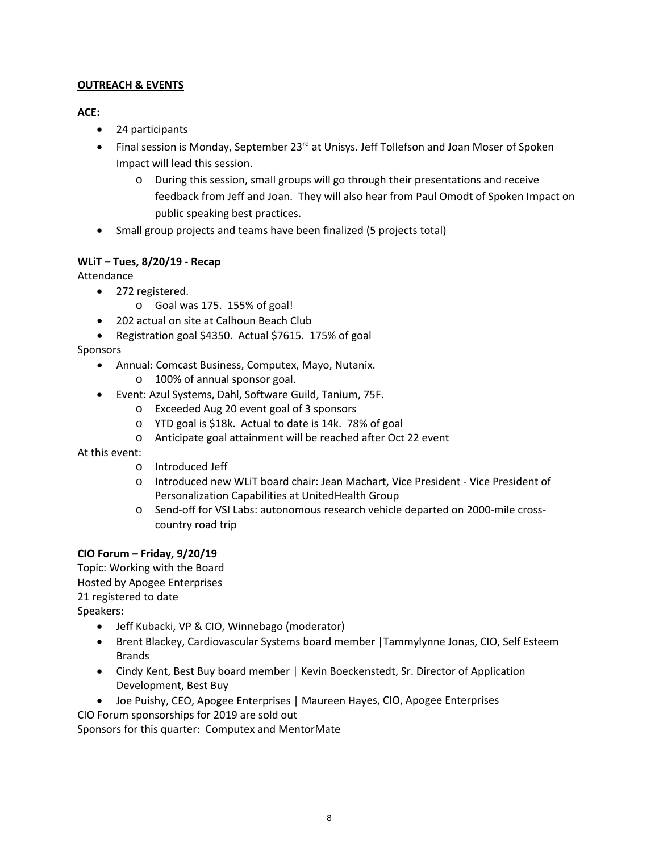## **OUTREACH & EVENTS**

## **ACE:**

- 24 participants
- Final session is Monday, September 23<sup>rd</sup> at Unisys. Jeff Tollefson and Joan Moser of Spoken Impact will lead this session.
	- o During this session, small groups will go through their presentations and receive feedback from Jeff and Joan. They will also hear from Paul Omodt of Spoken Impact on public speaking best practices.
- Small group projects and teams have been finalized (5 projects total)

# **WLiT – Tues, 8/20/19 ‐ Recap**

Attendance

- 272 registered.
	- o Goal was 175. 155% of goal!
- 202 actual on site at Calhoun Beach Club
- Registration goal \$4350. Actual \$7615. 175% of goal

Sponsors

- Annual: Comcast Business, Computex, Mayo, Nutanix.
	- o 100% of annual sponsor goal.
- Event: Azul Systems, Dahl, Software Guild, Tanium, 75F.
	- o Exceeded Aug 20 event goal of 3 sponsors
	- o YTD goal is \$18k. Actual to date is 14k. 78% of goal
	- o Anticipate goal attainment will be reached after Oct 22 event

At this event:

- o Introduced Jeff
- o Introduced new WLiT board chair: Jean Machart, Vice President ‐ Vice President of Personalization Capabilities at UnitedHealth Group
- o Send‐off for VSI Labs: autonomous research vehicle departed on 2000‐mile cross‐ country road trip

# **CIO Forum – Friday, 9/20/19**

Topic: Working with the Board Hosted by Apogee Enterprises 21 registered to date Speakers:

- Jeff Kubacki, VP & CIO, Winnebago (moderator)
- Brent Blackey, Cardiovascular Systems board member |Tammylynne Jonas, CIO, Self Esteem Brands
- Cindy Kent, Best Buy board member | Kevin Boeckenstedt, Sr. Director of Application Development, Best Buy
- Joe Puishy, CEO, Apogee Enterprises | Maureen Hayes, CIO, Apogee Enterprises

CIO Forum sponsorships for 2019 are sold out

Sponsors for this quarter: Computex and MentorMate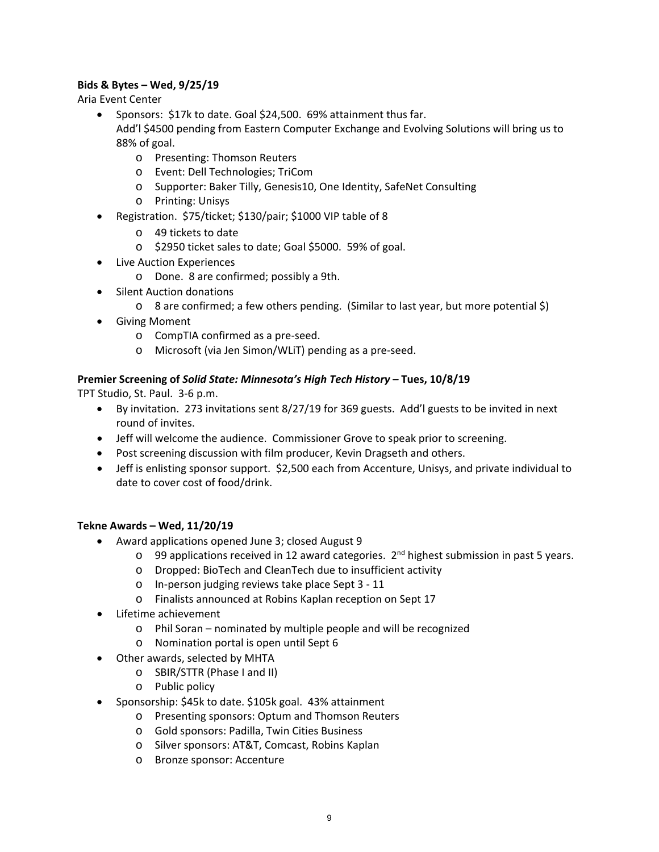## **Bids & Bytes – Wed, 9/25/19**

Aria Event Center

- Sponsors: \$17k to date. Goal \$24,500. 69% attainment thus far. Add'l \$4500 pending from Eastern Computer Exchange and Evolving Solutions will bring us to 88% of goal.
	- o Presenting: Thomson Reuters
	- o Event: Dell Technologies; TriCom
	- o Supporter: Baker Tilly, Genesis10, One Identity, SafeNet Consulting
	- o Printing: Unisys
- Registration. \$75/ticket; \$130/pair; \$1000 VIP table of 8
	- o 49 tickets to date
	- o \$2950 ticket sales to date; Goal \$5000. 59% of goal.
- **•** Live Auction Experiences
	- o Done. 8 are confirmed; possibly a 9th.
- Silent Auction donations
	- o 8 are confirmed; a few others pending. (Similar to last year, but more potential \$)
- **•** Giving Moment
	- o CompTIA confirmed as a pre‐seed.
	- o Microsoft (via Jen Simon/WLiT) pending as a pre‐seed.

## **Premier Screening of** *Solid State: Minnesota's High Tech History* **– Tues, 10/8/19**

TPT Studio, St. Paul. 3‐6 p.m.

- By invitation. 273 invitations sent 8/27/19 for 369 guests. Add'l guests to be invited in next round of invites.
- Jeff will welcome the audience. Commissioner Grove to speak prior to screening.
- Post screening discussion with film producer, Kevin Dragseth and others.
- Jeff is enlisting sponsor support. \$2,500 each from Accenture, Unisys, and private individual to date to cover cost of food/drink.

## **Tekne Awards – Wed, 11/20/19**

- Award applications opened June 3; closed August 9
	- $\circ$  99 applications received in 12 award categories.  $2^{nd}$  highest submission in past 5 years.
	- o Dropped: BioTech and CleanTech due to insufficient activity
	- o In‐person judging reviews take place Sept 3 ‐ 11
	- o Finalists announced at Robins Kaplan reception on Sept 17
- Lifetime achievement
	- o Phil Soran nominated by multiple people and will be recognized
	- o Nomination portal is open until Sept 6
- Other awards, selected by MHTA
	- o SBIR/STTR (Phase I and II)
	- o Public policy
- Sponsorship: \$45k to date. \$105k goal. 43% attainment
	- o Presenting sponsors: Optum and Thomson Reuters
	- o Gold sponsors: Padilla, Twin Cities Business
	- o Silver sponsors: AT&T, Comcast, Robins Kaplan
	- o Bronze sponsor: Accenture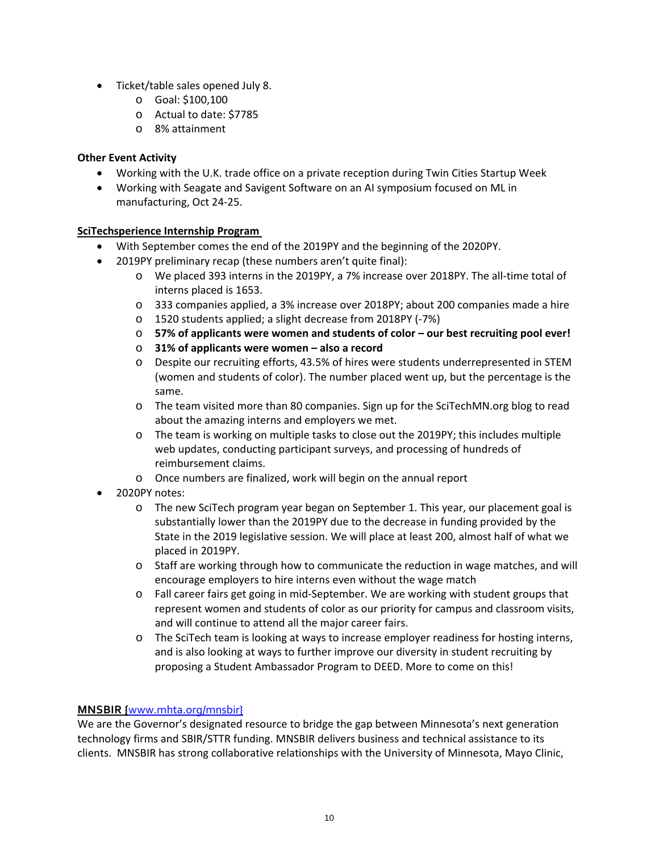- Ticket/table sales opened July 8.
	- o Goal: \$100,100
	- o Actual to date: \$7785
	- o 8% attainment

# **Other Event Activity**

- Working with the U.K. trade office on a private reception during Twin Cities Startup Week
- Working with Seagate and Savigent Software on an AI symposium focused on ML in manufacturing, Oct 24‐25.

# **SciTechsperience Internship Program**

- With September comes the end of the 2019PY and the beginning of the 2020PY.
- 2019PY preliminary recap (these numbers aren't quite final):
	- o We placed 393 interns in the 2019PY, a 7% increase over 2018PY. The all‐time total of interns placed is 1653.
	- o 333 companies applied, a 3% increase over 2018PY; about 200 companies made a hire
	- o 1520 students applied; a slight decrease from 2018PY (‐7%)
	- o **57% of applicants were women and students of color – our best recruiting pool ever!**
	- o **31% of applicants were women – also a record**
	- o Despite our recruiting efforts, 43.5% of hires were students underrepresented in STEM (women and students of color). The number placed went up, but the percentage is the same.
	- o The team visited more than 80 companies. Sign up for the SciTechMN.org blog to read about the amazing interns and employers we met.
	- o The team is working on multiple tasks to close out the 2019PY; this includes multiple web updates, conducting participant surveys, and processing of hundreds of reimbursement claims.
	- o Once numbers are finalized, work will begin on the annual report
- 2020PY notes:
	- o The new SciTech program year began on September 1. This year, our placement goal is substantially lower than the 2019PY due to the decrease in funding provided by the State in the 2019 legislative session. We will place at least 200, almost half of what we placed in 2019PY.
	- o Staff are working through how to communicate the reduction in wage matches, and will encourage employers to hire interns even without the wage match
	- o Fall career fairs get going in mid‐September. We are working with student groups that represent women and students of color as our priority for campus and classroom visits, and will continue to attend all the major career fairs.
	- o The SciTech team is looking at ways to increase employer readiness for hosting interns, and is also looking at ways to further improve our diversity in student recruiting by proposing a Student Ambassador Program to DEED. More to come on this!

# **MNSBIR {**www.mhta.org/mnsbir}

We are the Governor's designated resource to bridge the gap between Minnesota's next generation technology firms and SBIR/STTR funding. MNSBIR delivers business and technical assistance to its clients. MNSBIR has strong collaborative relationships with the University of Minnesota, Mayo Clinic,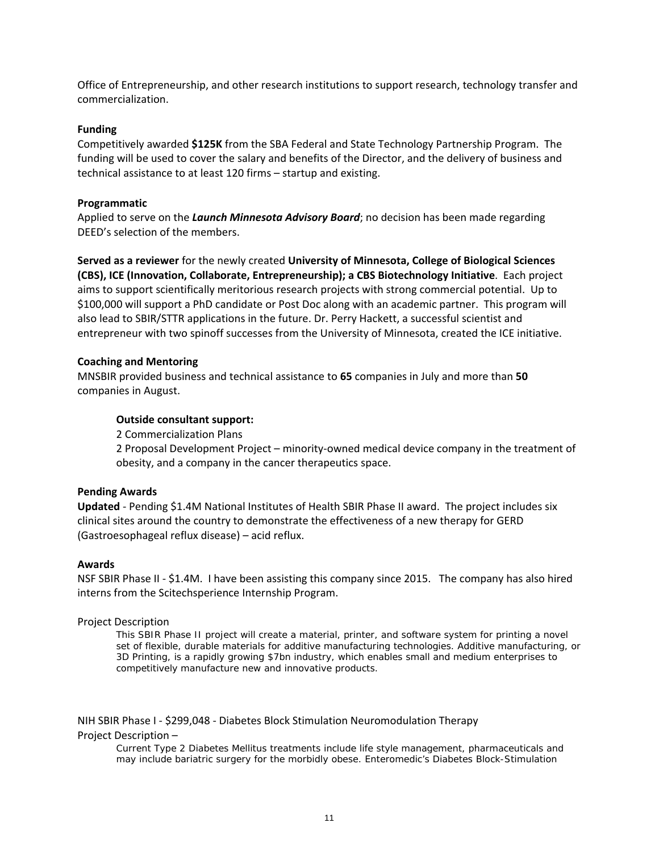Office of Entrepreneurship, and other research institutions to support research, technology transfer and commercialization.

#### **Funding**

Competitively awarded **\$125K** from the SBA Federal and State Technology Partnership Program. The funding will be used to cover the salary and benefits of the Director, and the delivery of business and technical assistance to at least 120 firms – startup and existing.

#### **Programmatic**

Applied to serve on the *Launch Minnesota Advisory Board*; no decision has been made regarding DEED's selection of the members.

**Served as a reviewer** for the newly created **University of Minnesota, College of Biological Sciences (CBS), ICE (Innovation, Collaborate, Entrepreneurship); a CBS Biotechnology Initiative**. Each project aims to support scientifically meritorious research projects with strong commercial potential. Up to \$100,000 will support a PhD candidate or Post Doc along with an academic partner. This program will also lead to SBIR/STTR applications in the future. Dr. Perry Hackett, a successful scientist and entrepreneur with two spinoff successes from the University of Minnesota, created the ICE initiative.

#### **Coaching and Mentoring**

MNSBIR provided business and technical assistance to **65** companies in July and more than **50** companies in August.

#### **Outside consultant support:**

2 Commercialization Plans

2 Proposal Development Project – minority‐owned medical device company in the treatment of obesity, and a company in the cancer therapeutics space.

#### **Pending Awards**

**Updated** ‐ Pending \$1.4M National Institutes of Health SBIR Phase II award. The project includes six clinical sites around the country to demonstrate the effectiveness of a new therapy for GERD (Gastroesophageal reflux disease) – acid reflux.

#### **Awards**

NSF SBIR Phase II ‐ \$1.4M. I have been assisting this company since 2015. The company has also hired interns from the Scitechsperience Internship Program.

#### Project Description

*This SBIR Phase II project will create a material, printer, and software system for printing a novel set of flexible, durable materials for additive manufacturing technologies. Additive manufacturing, or 3D Printing, is a rapidly growing \$7bn industry, which enables small and medium enterprises to competitively manufacture new and innovative products.* 

NIH SBIR Phase I ‐ \$299,048 ‐ Diabetes Block Stimulation Neuromodulation Therapy

#### Project Description –

*Current Type 2 Diabetes Mellitus treatments include life style management, pharmaceuticals and may include bariatric surgery for the morbidly obese. Enteromedic's Diabetes Block-Stimulation*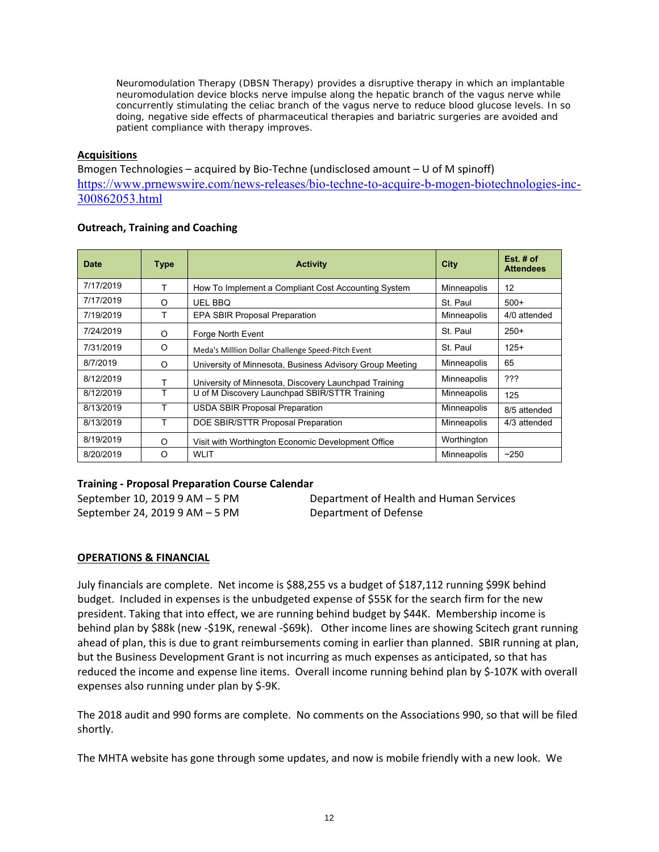*Neuromodulation Therapy (DBSN Therapy) provides a disruptive therapy in which an implantable neuromodulation device blocks nerve impulse along the hepatic branch of the vagus nerve while concurrently stimulating the celiac branch of the vagus nerve to reduce blood glucose levels. In so doing, negative side effects of pharmaceutical therapies and bariatric surgeries are avoided and patient compliance with therapy improves.* 

#### **Acquisitions**

Bmogen Technologies – acquired by Bio‐Techne (undisclosed amount – U of M spinoff) https://www.prnewswire.com/news-releases/bio-techne-to-acquire-b-mogen-biotechnologies-inc-300862053.html

## **Outreach, Training and Coaching**

| <b>Date</b> | <b>Type</b> | <b>Activity</b>                                          | <b>City</b> | $Est#$ of<br><b>Attendees</b> |
|-------------|-------------|----------------------------------------------------------|-------------|-------------------------------|
| 7/17/2019   | т           | How To Implement a Compliant Cost Accounting System      | Minneapolis | 12                            |
| 7/17/2019   | O           | <b>UEL BBQ</b>                                           | St. Paul    | $500+$                        |
| 7/19/2019   | т           | <b>EPA SBIR Proposal Preparation</b>                     | Minneapolis | 4/0 attended                  |
| 7/24/2019   | O           | Forge North Event                                        | St. Paul    | $250+$                        |
| 7/31/2019   | O           | Meda's Milllion Dollar Challenge Speed-Pitch Event       | St. Paul    | $125+$                        |
| 8/7/2019    | O           | University of Minnesota, Business Advisory Group Meeting | Minneapolis | 65                            |
| 8/12/2019   | Т           | University of Minnesota, Discovery Launchpad Training    | Minneapolis | ???                           |
| 8/12/2019   | T           | U of M Discovery Launchpad SBIR/STTR Training            | Minneapolis | 125                           |
| 8/13/2019   | T           | <b>USDA SBIR Proposal Preparation</b>                    | Minneapolis | 8/5 attended                  |
| 8/13/2019   | T           | DOE SBIR/STTR Proposal Preparation                       | Minneapolis | 4/3 attended                  |
| 8/19/2019   | O           | Visit with Worthington Economic Development Office       | Worthington |                               |
| 8/20/2019   | O           | <b>WLIT</b>                                              | Minneapolis | ~250                          |

## **Training ‐ Proposal Preparation Course Calendar**

September 24, 2019 9 AM – 5 PM Department of Defense

September 10, 2019 9 AM – 5 PM Department of Health and Human Services

## **OPERATIONS & FINANCIAL**

July financials are complete. Net income is \$88,255 vs a budget of \$187,112 running \$99K behind budget. Included in expenses is the unbudgeted expense of \$55K for the search firm for the new president. Taking that into effect, we are running behind budget by \$44K. Membership income is behind plan by \$88k (new -\$19K, renewal -\$69k). Other income lines are showing Scitech grant running ahead of plan, this is due to grant reimbursements coming in earlier than planned. SBIR running at plan, but the Business Development Grant is not incurring as much expenses as anticipated, so that has reduced the income and expense line items. Overall income running behind plan by \$‐107K with overall expenses also running under plan by \$‐9K.

The 2018 audit and 990 forms are complete. No comments on the Associations 990, so that will be filed shortly.

The MHTA website has gone through some updates, and now is mobile friendly with a new look. We